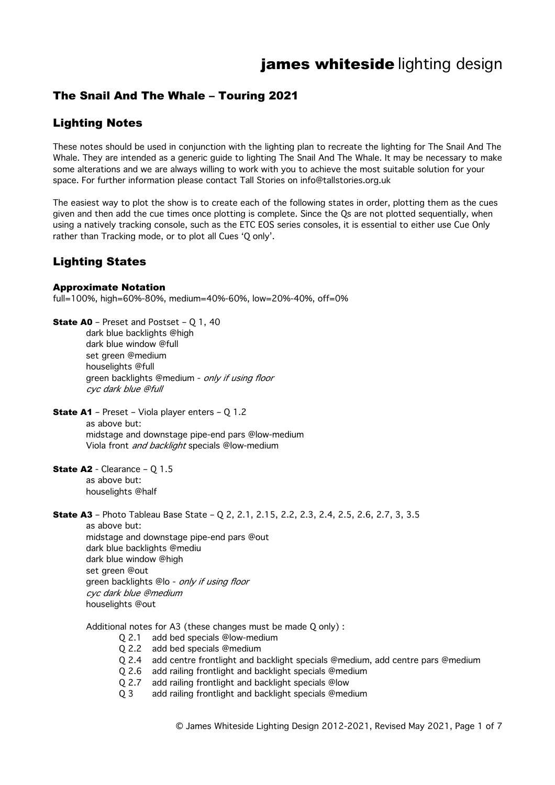### The Snail And The Whale – Touring 2021

### Lighting Notes

These notes should be used in conjunction with the lighting plan to recreate the lighting for The Snail And The Whale. They are intended as a generic guide to lighting The Snail And The Whale. It may be necessary to make some alterations and we are always willing to work with you to achieve the most suitable solution for your space. For further information please contact Tall Stories on info@tallstories.org.uk

The easiest way to plot the show is to create each of the following states in order, plotting them as the cues given and then add the cue times once plotting is complete. Since the Qs are not plotted sequentially, when using a natively tracking console, such as the ETC EOS series consoles, it is essential to either use Cue Only rather than Tracking mode, or to plot all Cues 'Q only'.

### Lighting States

#### Approximate Notation

full=100%, high=60%-80%, medium=40%-60%, low=20%-40%, off=0%

**State A0** - Preset and Postset -  $Q$  1, 40 dark blue backlights @high dark blue window @full set green @medium houselights @full green backlights @medium - only if using floor cyc dark blue @full State A1 – Preset – Viola player enters – Q 1.2 as above but: midstage and downstage pipe-end pars @low-medium Viola front and backlight specials @low-medium State A2 - Clearance - Q 1.5 as above but: houselights @half State A3 – Photo Tableau Base State – Q 2, 2.1, 2.15, 2.2, 2.3, 2.4, 2.5, 2.6, 2.7, 3, 3.5 as above but: midstage and downstage pipe-end pars @out dark blue backlights @mediu dark blue window @high set green @out green backlights @lo - only if using floor cyc dark blue @medium houselights @out Additional notes for A3 (these changes must be made Q only) : Q 2.1 add bed specials @low-medium Q 2.2 add bed specials @medium Q 2.4 add centre frontlight and backlight specials @medium, add centre pars @medium Q 2.6 add railing frontlight and backlight specials @medium

- Q 2.7 add railing frontlight and backlight specials @low
- Q 3 add railing frontlight and backlight specials @medium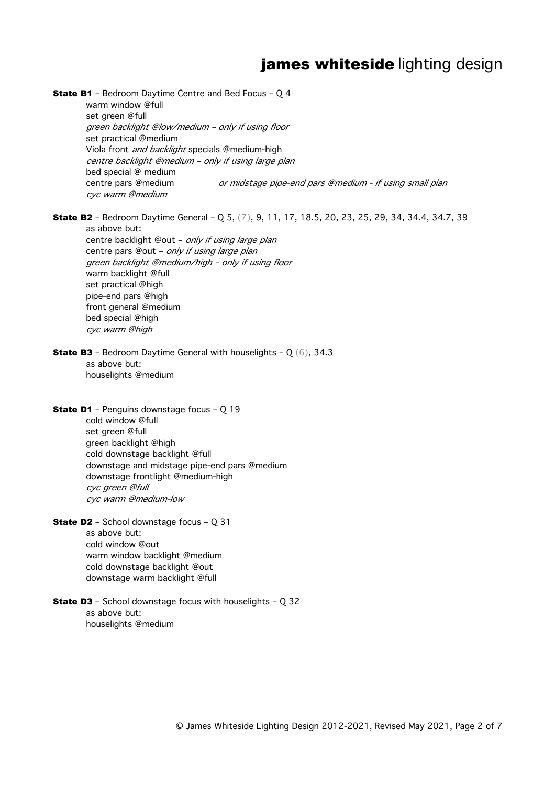State B1 – Bedroom Daytime Centre and Bed Focus – Q 4 warm window @full set green @full green backlight @low/medium – only if using floor set practical @medium Viola front and backlight specials @medium-high centre backlight @medium – only if using large plan bed special @ medium centre pars @medium or midstage pipe-end pars @medium - if using small plan cyc warm @medium State B2 – Bedroom Daytime General – Q 5, (7), 9, 11, 17, 18.5, 20, 23, 25, 29, 34, 34.4, 34.7, 39 as above but: centre backlight @out - only if using large plan centre pars @out - only if using large plan green backlight @medium/high – only if using floor warm backlight @full set practical @high pipe-end pars @high front general @medium bed special @high cyc warm @high **State B3** – Bedroom Daytime General with houselights –  $Q(6)$ , 34.3 as above but: houselights @medium **State D1** - Penguins downstage focus - Q 19 cold window @full set green @full green backlight @high cold downstage backlight @full downstage and midstage pipe-end pars @medium downstage frontlight @medium-high cyc green @full cyc warm @medium-low State D2 – School downstage focus – Q 31 as above but: cold window @out warm window backlight @medium cold downstage backlight @out downstage warm backlight @full State D3 – School downstage focus with houselights – Q 32 as above but:

houselights @medium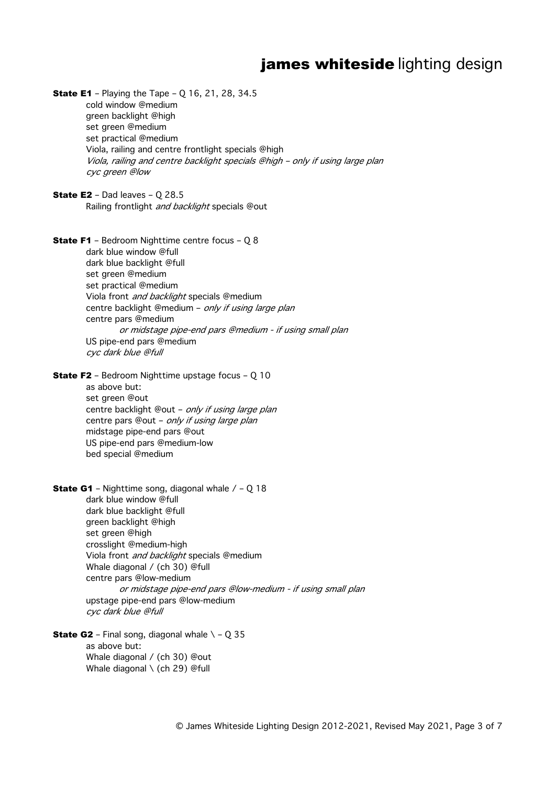**State E1** - Playing the Tape - Q 16, 21, 28, 34.5 cold window @medium green backlight @high set green @medium set practical @medium Viola, railing and centre frontlight specials @high Viola, railing and centre backlight specials @high – only if using large plan cyc green @low **State E2** - Dad leaves -  $Q$  28.5

Railing frontlight *and backlight* specials @out

State F1 – Bedroom Nighttime centre focus – Q 8 dark blue window @full dark blue backlight @full set green @medium set practical @medium Viola front and backlight specials @medium centre backlight @medium - only if using large plan centre pars @medium or midstage pipe-end pars @medium - if using small plan US pipe-end pars @medium cyc dark blue @full

**State F2** - Bedroom Nighttime upstage focus - Q 10 as above but: set green @out centre backlight @out - only if using large plan centre pars @out - only if using large plan midstage pipe-end pars @out US pipe-end pars @medium-low bed special @medium

**State G1** – Nighttime song, diagonal whale  $/ - Q$  18 dark blue window @full dark blue backlight @full green backlight @high set green @high crosslight @medium-high Viola front and backlight specials @medium Whale diagonal / (ch 30) @full centre pars @low-medium or midstage pipe-end pars @low-medium - if using small plan upstage pipe-end pars @low-medium cyc dark blue @full

**State G2** – Final song, diagonal whale  $\(-Q)$  35 as above but: Whale diagonal / (ch 30) @out Whale diagonal \ (ch 29) @full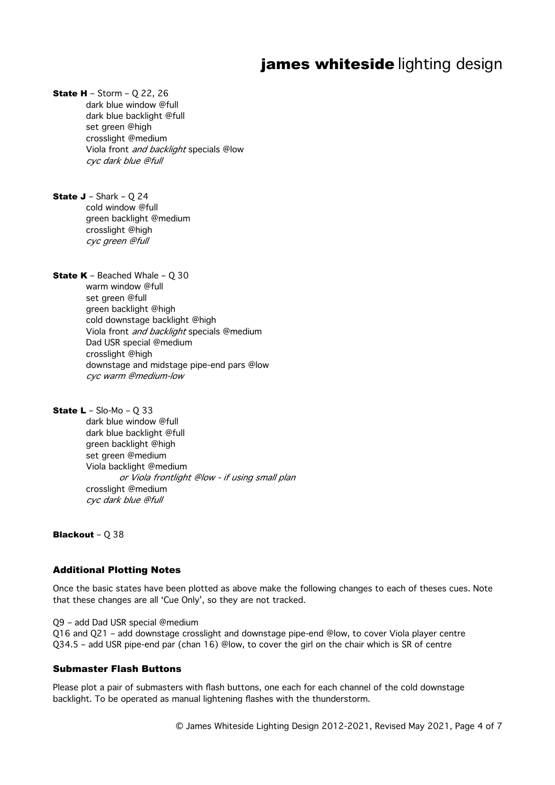State H – Storm – Q 22, 26 dark blue window @full dark blue backlight @full set green @high crosslight @medium Viola front and backlight specials @low cyc dark blue @full

State J – Shark – Q 24 cold window @full green backlight @medium crosslight @high cyc green @full

**State K** – Beached Whale –  $Q$  30 warm window @full set green @full green backlight @high cold downstage backlight @high Viola front and backlight specials @medium Dad USR special @medium crosslight @high downstage and midstage pipe-end pars @low cyc warm @medium-low

**State L** – Slo-Mo –  $Q$  33 dark blue window @full dark blue backlight @full green backlight @high set green @medium Viola backlight @medium or Viola frontlight @low - if using small plan crosslight @medium cyc dark blue @full

Blackout - Q 38

#### Additional Plotting Notes

Once the basic states have been plotted as above make the following changes to each of theses cues. Note that these changes are all 'Cue Only', so they are not tracked.

Q9 – add Dad USR special @medium

Q16 and Q21 – add downstage crosslight and downstage pipe-end @low, to cover Viola player centre Q34.5 – add USR pipe-end par (chan 16) @low, to cover the girl on the chair which is SR of centre

#### Submaster Flash Buttons

Please plot a pair of submasters with flash buttons, one each for each channel of the cold downstage backlight. To be operated as manual lightening flashes with the thunderstorm.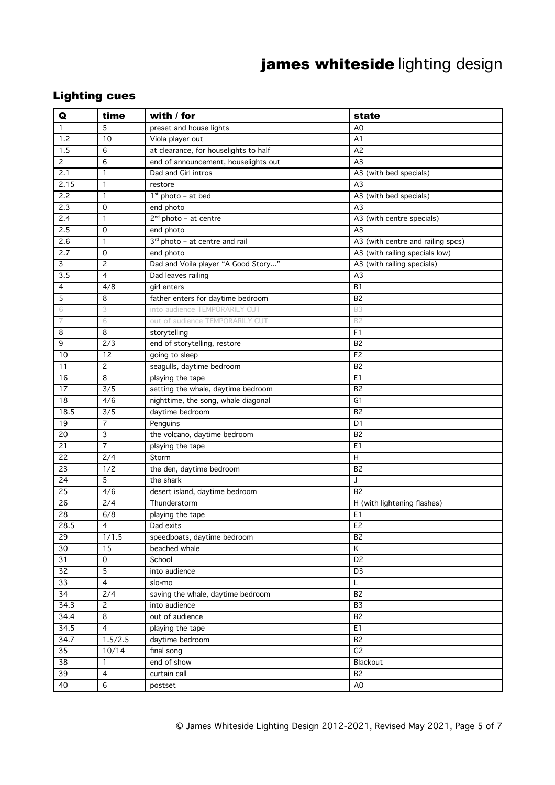## Lighting cues

| Q            | time           | with / for                            | state                             |
|--------------|----------------|---------------------------------------|-----------------------------------|
| $\mathbf{1}$ | 5              | preset and house lights               | A <sub>0</sub>                    |
| 1.2          | 10             | Viola player out                      | A <sub>1</sub>                    |
| 1.5          | 6              | at clearance, for houselights to half | A <sub>2</sub>                    |
| $\mathbf{2}$ | 6              | end of announcement, houselights out  | A <sub>3</sub>                    |
| 2.1          | $\mathbf{1}$   | Dad and Girl intros                   | A3 (with bed specials)            |
| 2.15         | $\mathbf{1}$   | restore                               | A <sub>3</sub>                    |
| 2.2          | $\mathbf{1}$   | $1st$ photo - at bed                  | A3 (with bed specials)            |
| 2.3          | 0              | end photo                             | A3                                |
| 2.4          | $\mathbf{1}$   | $2nd$ photo - at centre               | A3 (with centre specials)         |
| 2.5          | 0              | end photo                             | A3                                |
| 2.6          | 1              | $3rd$ photo - at centre and rail      | A3 (with centre and railing spcs) |
| 2.7          | 0              | end photo                             | A3 (with railing specials low)    |
| 3            | 2              | Dad and Voila player "A Good Story"   | A3 (with railing specials)        |
| 3.5          | $\overline{4}$ | Dad leaves railing                    | A <sub>3</sub>                    |
| 4            | 4/8            | girl enters                           | <b>B1</b>                         |
| 5            | 8              | father enters for daytime bedroom     | B <sub>2</sub>                    |
| 6            | 3              | into audience TEMPORARILY CUT         | B3                                |
| 7            | 6              | out of audience TEMPORARILY CUT       | B <sub>2</sub>                    |
| 8            | 8              | storytelling                          | F <sub>1</sub>                    |
| 9            | 2/3            | end of storytelling, restore          | B <sub>2</sub>                    |
| 10           | 12             | going to sleep                        | F <sub>2</sub>                    |
| 11           | $\overline{c}$ | seagulls, daytime bedroom             | B <sub>2</sub>                    |
| 16           | 8              | playing the tape                      | E1                                |
| 17           | 3/5            | setting the whale, daytime bedroom    | B <sub>2</sub>                    |
| 18           | 4/6            | nighttime, the song, whale diagonal   | G <sub>1</sub>                    |
| 18.5         | 3/5            | daytime bedroom                       | B <sub>2</sub>                    |
| 19           | $\overline{7}$ | Penguins                              | D1                                |
| 20           | 3              | the volcano, daytime bedroom          | B <sub>2</sub>                    |
| 21           | $\overline{7}$ | playing the tape                      | E1                                |
| 22           | 2/4            | Storm                                 | Η                                 |
| 23           | 1/2            | the den, daytime bedroom              | B <sub>2</sub>                    |
| 24           | 5              | the shark                             | J                                 |
| 25           | 4/6            | desert island, daytime bedroom        | B <sub>2</sub>                    |
| 26           | 2/4            | Thunderstorm                          | H (with lightening flashes)       |
| 28           | 6/8            | playing the tape                      | E1                                |
| 28.5         | 4              | Dad exits                             | E2                                |
| 29           | 1/1.5          | speedboats, daytime bedroom           | B <sub>2</sub>                    |
| 30           | 15             | beached whale                         | K                                 |
| 31           | $\mathsf{O}$   | School                                | D <sub>2</sub>                    |
| 32           | 5              | into audience                         | D <sub>3</sub>                    |
| 33           | 4              | slo-mo                                | L                                 |
| 34           | 2/4            | saving the whale, daytime bedroom     | B <sub>2</sub>                    |
| 34.3         | $\overline{c}$ | into audience                         | B <sub>3</sub>                    |
| 34.4         | 8              | out of audience                       | B <sub>2</sub>                    |
| 34.5         | 4              | playing the tape                      | E1                                |
| 34.7         | 1.5/2.5        | daytime bedroom                       | B <sub>2</sub>                    |
| 35           | 10/14          | final song                            | G <sub>2</sub>                    |
| 38           | $\mathbf{1}$   | end of show                           | Blackout                          |
| 39           | $\overline{4}$ | curtain call                          | B <sub>2</sub>                    |
| 40           | 6              | postset                               | A <sub>0</sub>                    |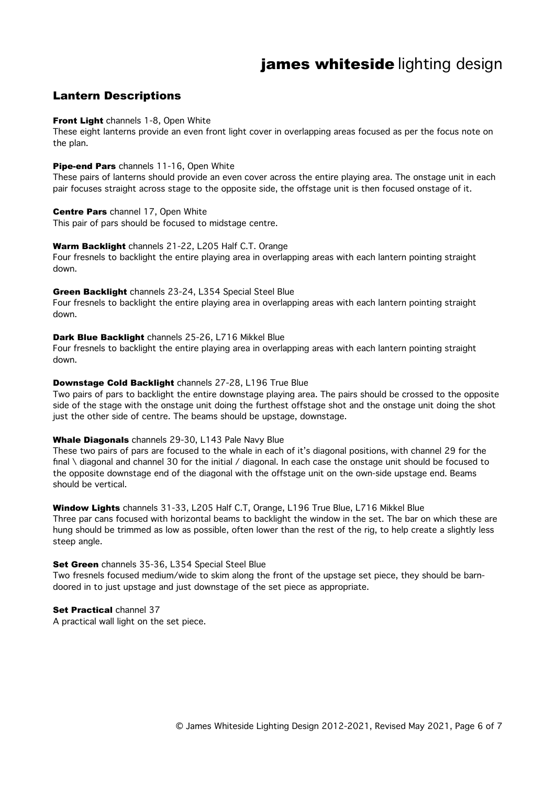### Lantern Descriptions

#### Front Light channels 1-8, Open White

These eight lanterns provide an even front light cover in overlapping areas focused as per the focus note on the plan.

#### Pipe-end Pars channels 11-16, Open White

These pairs of lanterns should provide an even cover across the entire playing area. The onstage unit in each pair focuses straight across stage to the opposite side, the offstage unit is then focused onstage of it.

#### Centre Pars channel 17, Open White

This pair of pars should be focused to midstage centre.

#### Warm Backlight channels 21-22, L205 Half C.T. Orange

Four fresnels to backlight the entire playing area in overlapping areas with each lantern pointing straight down.

#### Green Backlight channels 23-24, L354 Special Steel Blue

Four fresnels to backlight the entire playing area in overlapping areas with each lantern pointing straight down.

#### Dark Blue Backlight channels 25-26, L716 Mikkel Blue

Four fresnels to backlight the entire playing area in overlapping areas with each lantern pointing straight down.

#### Downstage Cold Backlight channels 27-28, L196 True Blue

Two pairs of pars to backlight the entire downstage playing area. The pairs should be crossed to the opposite side of the stage with the onstage unit doing the furthest offstage shot and the onstage unit doing the shot just the other side of centre. The beams should be upstage, downstage.

#### Whale Diagonals channels 29-30, L143 Pale Navy Blue

These two pairs of pars are focused to the whale in each of it's diagonal positions, with channel 29 for the final \ diagonal and channel 30 for the initial / diagonal. In each case the onstage unit should be focused to the opposite downstage end of the diagonal with the offstage unit on the own-side upstage end. Beams should be vertical.

Window Lights channels 31-33, L205 Half C.T, Orange, L196 True Blue, L716 Mikkel Blue Three par cans focused with horizontal beams to backlight the window in the set. The bar on which these are hung should be trimmed as low as possible, often lower than the rest of the rig, to help create a slightly less steep angle.

#### Set Green channels 35-36, L354 Special Steel Blue

Two fresnels focused medium/wide to skim along the front of the upstage set piece, they should be barndoored in to just upstage and just downstage of the set piece as appropriate.

Set Practical channel 37 A practical wall light on the set piece.